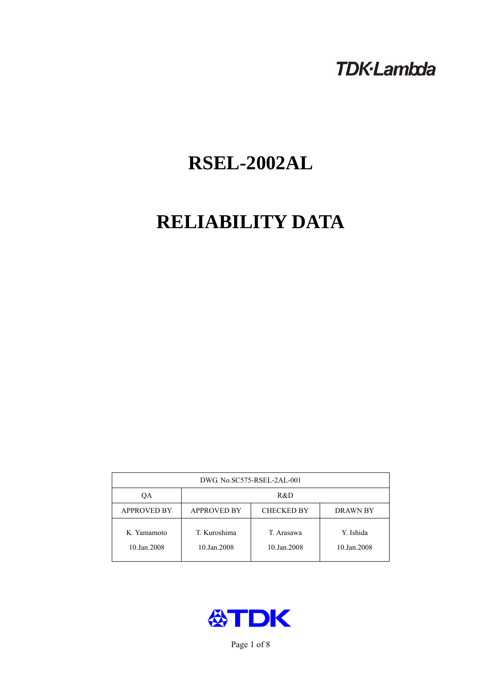# **TDK-Lambda**

# **RSEL-2002AL**

# **RELIABILITY DATA**

| DWG. No.SC575-RSEL-2AL-001 |                                                     |                           |                          |  |  |
|----------------------------|-----------------------------------------------------|---------------------------|--------------------------|--|--|
| OA                         | R&D                                                 |                           |                          |  |  |
| <b>APPROVED BY</b>         | <b>APPROVED BY</b><br><b>CHECKED BY</b><br>DRAWN BY |                           |                          |  |  |
| K. Yamamoto<br>10.Jan.2008 | T. Kuroshima<br>10.Jan.2008                         | T. Arasawa<br>10.Jan.2008 | Y. Ishida<br>10.Jan.2008 |  |  |



Page 1 of 8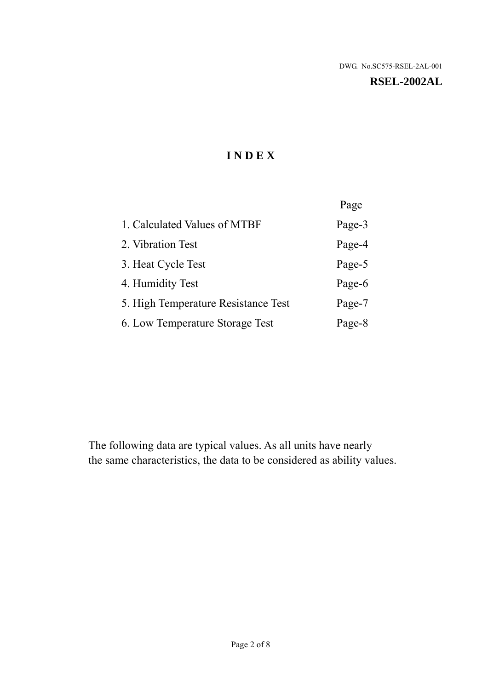# **RSEL-2002AL**

# **I N D E X**

|                                     | Page   |
|-------------------------------------|--------|
| 1. Calculated Values of MTBF        | Page-3 |
| 2. Vibration Test                   | Page-4 |
| 3. Heat Cycle Test                  | Page-5 |
| 4. Humidity Test                    | Page-6 |
| 5. High Temperature Resistance Test | Page-7 |
| 6. Low Temperature Storage Test     | Page-8 |

The following data are typical values. As all units have nearly the same characteristics, the data to be considered as ability values.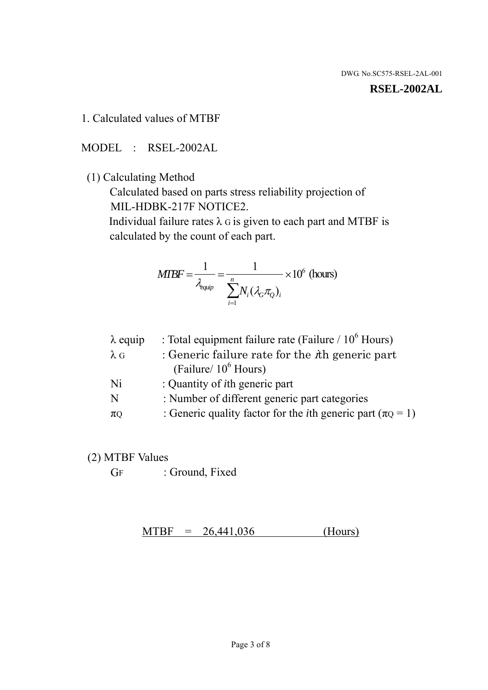#### **RSEL-2002AL**

1. Calculated values of MTBF

MODEL : RSEL-2002AL

(1) Calculating Method

 Calculated based on parts stress reliability projection of MIL-HDBK-217F NOTICE2.

Individual failure rates  $\lambda$  G is given to each part and MTBF is calculated by the count of each part.

$$
MIBF = \frac{1}{\lambda_{\text{equip}}} = \frac{1}{\sum_{i=1}^{n} N_i (\lambda_G \pi_Q)_i} \times 10^6 \text{ (hours)}
$$

| $\lambda$ equip | : Total equipment failure rate (Failure $/ 10^6$ Hours)                   |
|-----------------|---------------------------------------------------------------------------|
| $\lambda$ G     | : Generic failure rate for the $\hbar$ generic part                       |
|                 | (Failure/ $10^6$ Hours)                                                   |
| Ni              | : Quantity of <i>i</i> th generic part                                    |
| N               | : Number of different generic part categories                             |
| $\pi$ Q         | : Generic quality factor for the <i>i</i> th generic part ( $\pi Q = 1$ ) |

- (2) MTBF Values
	- GF : Ground, Fixed

 $MTBF = 26,441,036$  (Hours)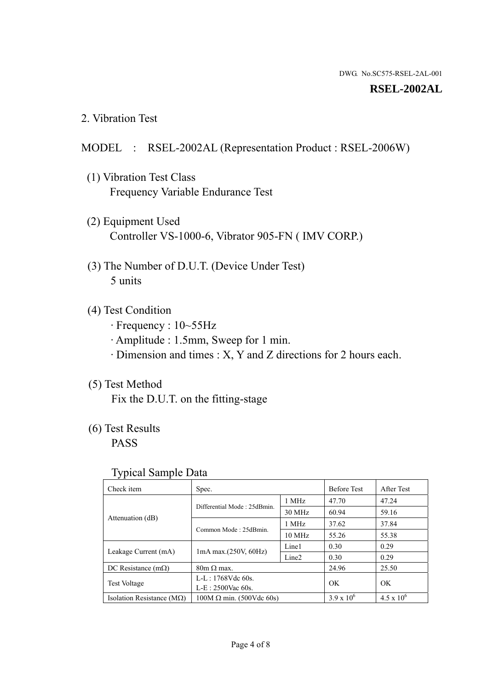#### **RSEL-2002AL**

2. Vibration Test

# MODEL : RSEL-2002AL (Representation Product : RSEL-2006W)

- (1) Vibration Test Class Frequency Variable Endurance Test
- (2) Equipment Used Controller VS-1000-6, Vibrator 905-FN ( IMV CORP.)
- (3) The Number of D.U.T. (Device Under Test) 5 units
- (4) Test Condition
	- · Frequency : 10~55Hz
	- · Amplitude : 1.5mm, Sweep for 1 min.
	- · Dimension and times : X, Y and Z directions for 2 hours each.

# (5) Test Method

Fix the D.U.T. on the fitting-stage

# (6) Test Results

PASS

#### Typical Sample Data

| . .                                |                                                         |                  |                     |                     |
|------------------------------------|---------------------------------------------------------|------------------|---------------------|---------------------|
| Check item                         | Spec.                                                   |                  | <b>Before Test</b>  | After Test          |
| Attenuation (dB)                   | Differential Mode: 25dBmin.                             | 1 MHz            | 47.70               | 47.24               |
|                                    |                                                         | 30 MHz           | 60.94               | 59.16               |
|                                    | Common Mode: 25dBmin.                                   | 1 MHz            | 37.62               | 37.84               |
|                                    |                                                         | $10 \text{ MHz}$ | 55.26               | 55.38               |
| Leakage Current (mA)               | Line1<br>$1mA$ max. $(250V, 60Hz)$<br>Line <sub>2</sub> |                  | 0.30                | 0.29                |
|                                    |                                                         |                  | 0.30                | 0.29                |
| DC Resistance $(m\Omega)$          | $80m \Omega$ max.                                       |                  | 24.96               | 25.50               |
| <b>Test Voltage</b>                | $L-L: 1768Vdc$ 60s.                                     |                  | OK                  | OK.                 |
|                                    | $L-E$ : 2500Vac 60s.                                    |                  |                     |                     |
| Isolation Resistance ( $M\Omega$ ) | $100M \Omega$ min. (500Vdc 60s)                         |                  | $3.9 \times 10^{6}$ | $4.5 \times 10^{6}$ |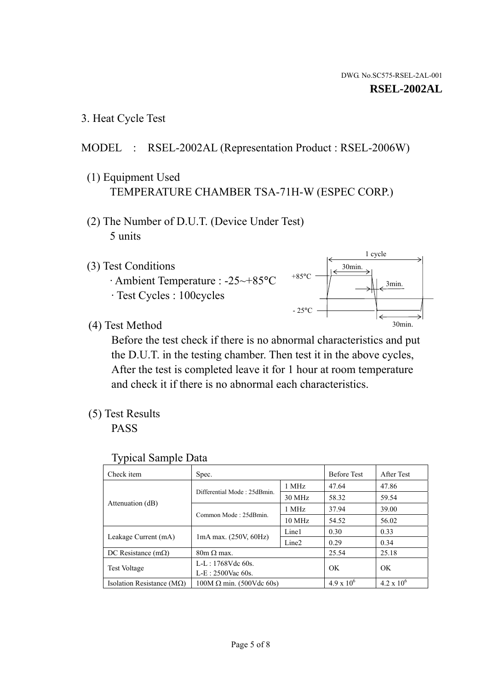1 cycle

30min.

3min.

30min.

3. Heat Cycle Test

# MODEL : RSEL-2002AL (Representation Product : RSEL-2006W)

- (1) Equipment Used TEMPERATURE CHAMBER TSA-71H-W (ESPEC CORP.)
- (2) The Number of D.U.T. (Device Under Test) 5 units
- (3) Test Conditions
	- · Ambient Temperature : -25~+85°C · Test Cycles : 100cycles
- (4) Test Method

 Before the test check if there is no abnormal characteristics and put the D.U.T. in the testing chamber. Then test it in the above cycles, After the test is completed leave it for 1 hour at room temperature and check it if there is no abnormal each characteristics.

 $+85$ °C

 $-25$ °C

(5) Test Results

PASS

| <b>Typical Sample Data</b> |  |  |
|----------------------------|--|--|
|----------------------------|--|--|

| Check item                         | Spec.                           |                   | <b>Before Test</b> | After Test          |
|------------------------------------|---------------------------------|-------------------|--------------------|---------------------|
|                                    | Differential Mode: 25dBmin.     | 1 MHz             | 47.64              | 47.86               |
|                                    |                                 | 30 MHz            | 58.32              | 59.54               |
| Attenuation (dB)                   | Common Mode: 25dBmin.           | 1 MHz             | 37.94              | 39.00               |
|                                    |                                 | 10 MHz            | 54.52              | 56.02               |
|                                    |                                 | Line1             | 0.30               | 0.33                |
| Leakage Current (mA)               | $1mA$ max. $(250V, 60Hz)$       | Line <sub>2</sub> | 0.29               | 0.34                |
| DC Resistance $(m\Omega)$          | $80m \Omega$ max.               |                   | 25.54              | 25.18               |
| <b>Test Voltage</b>                | $L-L: 1768Vdc$ 60s.             |                   | OK                 | OK                  |
|                                    | $L-E: 2500$ Vac 60s.            |                   |                    |                     |
| Isolation Resistance ( $M\Omega$ ) | $100M \Omega$ min. (500Vdc 60s) |                   | $4.9 \times 10^6$  | $4.2 \times 10^{6}$ |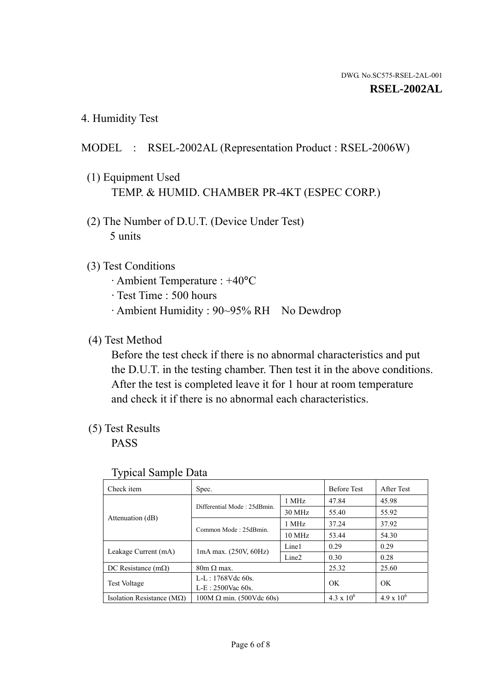4. Humidity Test

# MODEL : RSEL-2002AL (Representation Product : RSEL-2006W)

- (1) Equipment Used TEMP. & HUMID. CHAMBER PR-4KT (ESPEC CORP.)
- (2) The Number of D.U.T. (Device Under Test) 5 units

# (3) Test Conditions

- · Ambient Temperature : +40°C
- · Test Time : 500 hours
- · Ambient Humidity : 90~95% RH No Dewdrop

# (4) Test Method

 Before the test check if there is no abnormal characteristics and put the D.U.T. in the testing chamber. Then test it in the above conditions. After the test is completed leave it for 1 hour at room temperature and check it if there is no abnormal each characteristics.

# (5) Test Results

PASS

| ╯┸                                 |                                 |                   |                     |                     |
|------------------------------------|---------------------------------|-------------------|---------------------|---------------------|
| Check item                         | Spec.                           |                   | <b>Before Test</b>  | After Test          |
| Attenuation (dB)                   | Differential Mode: 25dBmin.     | 1 MHz             | 47.84               | 45.98               |
|                                    |                                 | 30 MHz            | 55.40               | 55.92               |
|                                    | Common Mode: 25dBmin.           | 1 MHz             | 37.24               | 37.92               |
|                                    |                                 | 10 MHz            | 53.44               | 54.30               |
| Leakage Current (mA)               | $1mA$ max. $(250V, 60Hz)$       | Line1             | 0.29                | 0.29                |
|                                    |                                 | Line <sub>2</sub> | 0.30                | 0.28                |
| DC Resistance $(m\Omega)$          | $80m \Omega$ max.               |                   | 25.32               | 25.60               |
| <b>Test Voltage</b>                | $L-L: 1768Vdc$ 60s.             |                   | OK                  | OK                  |
|                                    | $L-E: 2500$ Vac 60s.            |                   |                     |                     |
| Isolation Resistance ( $M\Omega$ ) | $100M \Omega$ min. (500Vdc 60s) |                   | $4.3 \times 10^{6}$ | $4.9 \times 10^{6}$ |

#### Typical Sample Data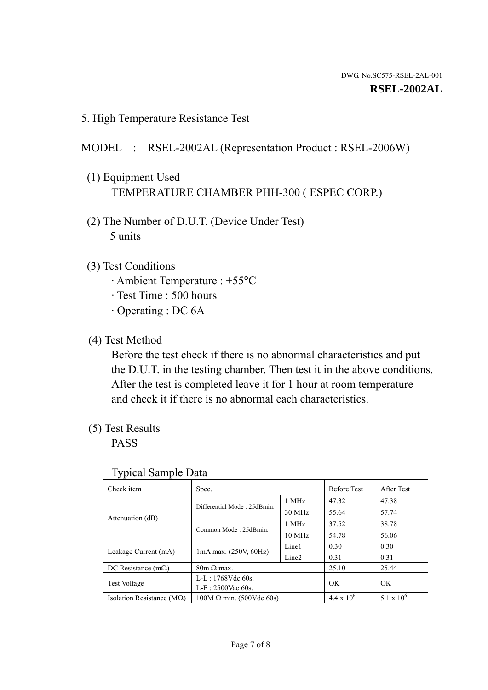5. High Temperature Resistance Test

### MODEL : RSEL-2002AL (Representation Product : RSEL-2006W)

- (1) Equipment Used TEMPERATURE CHAMBER PHH-300 ( ESPEC CORP.)
- (2) The Number of D.U.T. (Device Under Test) 5 units
- (3) Test Conditions
	- · Ambient Temperature : +55°C
	- · Test Time : 500 hours
	- · Operating : DC 6A
- (4) Test Method

 Before the test check if there is no abnormal characteristics and put the D.U.T. in the testing chamber. Then test it in the above conditions. After the test is completed leave it for 1 hour at room temperature and check it if there is no abnormal each characteristics.

(5) Test Results

PASS

| ╯┸                                 |                                 |                   |                     |              |
|------------------------------------|---------------------------------|-------------------|---------------------|--------------|
| Check item                         | Spec.                           |                   | <b>Before Test</b>  | After Test   |
|                                    | Differential Mode: 25dBmin.     | 1 MHz             | 47.32               | 47.38        |
|                                    |                                 | 30 MHz            | 55.64               | 57.74        |
| Attenuation (dB)                   | Common Mode: 25dBmin.           | 1 MHz             | 37.52               | 38.78        |
|                                    |                                 | 10 MHz            | 54.78               | 56.06        |
| Leakage Current (mA)               | $1mA$ max. $(250V, 60Hz)$       | Line1             | 0.30                | 0.30         |
|                                    |                                 | Line <sub>2</sub> | 0.31                | 0.31         |
| DC Resistance $(m\Omega)$          | $80m \Omega$ max.               |                   | 25.10               | 25.44        |
| <b>Test Voltage</b>                | $L-L: 1768Vdc$ 60s.             |                   | OK                  | OK           |
|                                    | $L-E: 2500$ Vac 60s.            |                   |                     |              |
| Isolation Resistance ( $M\Omega$ ) | $100M \Omega$ min. (500Vdc 60s) |                   | $4.4 \times 10^{6}$ | 5.1 x $10^6$ |

#### Typical Sample Data